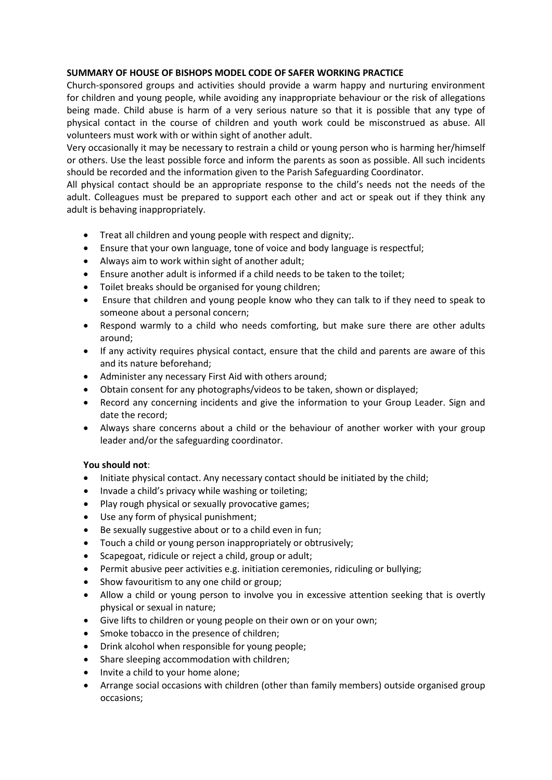# **SUMMARY OF HOUSE OF BISHOPS MODEL CODE OF SAFER WORKING PRACTICE**

Church-sponsored groups and activities should provide a warm happy and nurturing environment for children and young people, while avoiding any inappropriate behaviour or the risk of allegations being made. Child abuse is harm of a very serious nature so that it is possible that any type of physical contact in the course of children and youth work could be misconstrued as abuse. All volunteers must work with or within sight of another adult.

Very occasionally it may be necessary to restrain a child or young person who is harming her/himself or others. Use the least possible force and inform the parents as soon as possible. All such incidents should be recorded and the information given to the Parish Safeguarding Coordinator.

All physical contact should be an appropriate response to the child's needs not the needs of the adult. Colleagues must be prepared to support each other and act or speak out if they think any adult is behaving inappropriately.

- Treat all children and young people with respect and dignity;.
- Ensure that your own language, tone of voice and body language is respectful;
- Always aim to work within sight of another adult;
- Ensure another adult is informed if a child needs to be taken to the toilet;
- Toilet breaks should be organised for young children;
- Ensure that children and young people know who they can talk to if they need to speak to someone about a personal concern;
- Respond warmly to a child who needs comforting, but make sure there are other adults around;
- If any activity requires physical contact, ensure that the child and parents are aware of this and its nature beforehand;
- Administer any necessary First Aid with others around;
- Obtain consent for any photographs/videos to be taken, shown or displayed;
- Record any concerning incidents and give the information to your Group Leader. Sign and date the record;
- Always share concerns about a child or the behaviour of another worker with your group leader and/or the safeguarding coordinator.

#### **You should not**:

- Initiate physical contact. Any necessary contact should be initiated by the child;
- Invade a child's privacy while washing or toileting;
- Play rough physical or sexually provocative games;
- Use any form of physical punishment;
- Be sexually suggestive about or to a child even in fun;
- Touch a child or young person inappropriately or obtrusively;
- Scapegoat, ridicule or reject a child, group or adult;
- Permit abusive peer activities e.g. initiation ceremonies, ridiculing or bullying;
- Show favouritism to any one child or group;
- Allow a child or young person to involve you in excessive attention seeking that is overtly physical or sexual in nature;
- Give lifts to children or young people on their own or on your own;
- Smoke tobacco in the presence of children;
- Drink alcohol when responsible for young people;
- Share sleeping accommodation with children;
- Invite a child to your home alone;
- Arrange social occasions with children (other than family members) outside organised group occasions;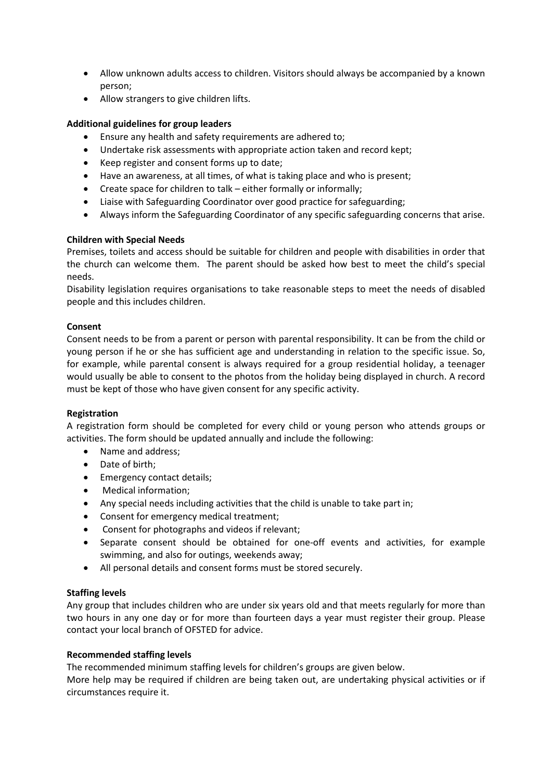- Allow unknown adults access to children. Visitors should always be accompanied by a known person;
- Allow strangers to give children lifts.

### **Additional guidelines for group leaders**

- Ensure any health and safety requirements are adhered to;
- Undertake risk assessments with appropriate action taken and record kept;
- Keep register and consent forms up to date;
- Have an awareness, at all times, of what is taking place and who is present;
- Create space for children to talk either formally or informally;
- Liaise with Safeguarding Coordinator over good practice for safeguarding;
- Always inform the Safeguarding Coordinator of any specific safeguarding concerns that arise.

#### **Children with Special Needs**

Premises, toilets and access should be suitable for children and people with disabilities in order that the church can welcome them. The parent should be asked how best to meet the child's special needs.

Disability legislation requires organisations to take reasonable steps to meet the needs of disabled people and this includes children.

#### **Consent**

Consent needs to be from a parent or person with parental responsibility. It can be from the child or young person if he or she has sufficient age and understanding in relation to the specific issue. So, for example, while parental consent is always required for a group residential holiday, a teenager would usually be able to consent to the photos from the holiday being displayed in church. A record must be kept of those who have given consent for any specific activity.

#### **Registration**

A registration form should be completed for every child or young person who attends groups or activities. The form should be updated annually and include the following:

- Name and address;
- Date of birth;
- Emergency contact details;
- Medical information;
- Any special needs including activities that the child is unable to take part in;
- Consent for emergency medical treatment;
- Consent for photographs and videos if relevant;
- Separate consent should be obtained for one-off events and activities, for example swimming, and also for outings, weekends away;
- All personal details and consent forms must be stored securely.

#### **Staffing levels**

Any group that includes children who are under six years old and that meets regularly for more than two hours in any one day or for more than fourteen days a year must register their group. Please contact your local branch of OFSTED for advice.

#### **Recommended staffing levels**

The recommended minimum staffing levels for children's groups are given below.

More help may be required if children are being taken out, are undertaking physical activities or if circumstances require it.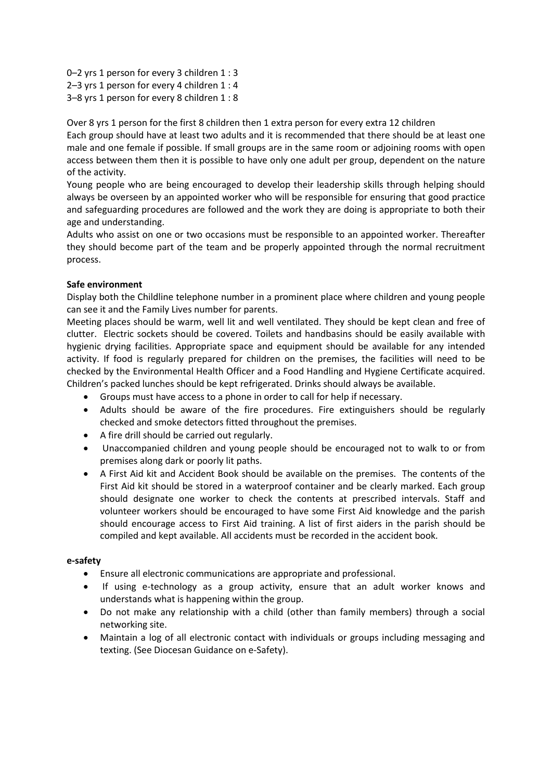0–2 yrs 1 person for every 3 children 1 : 3 2–3 yrs 1 person for every 4 children 1 : 4 3–8 yrs 1 person for every 8 children 1 : 8

Over 8 yrs 1 person for the first 8 children then 1 extra person for every extra 12 children

Each group should have at least two adults and it is recommended that there should be at least one male and one female if possible. If small groups are in the same room or adjoining rooms with open access between them then it is possible to have only one adult per group, dependent on the nature of the activity.

Young people who are being encouraged to develop their leadership skills through helping should always be overseen by an appointed worker who will be responsible for ensuring that good practice and safeguarding procedures are followed and the work they are doing is appropriate to both their age and understanding.

Adults who assist on one or two occasions must be responsible to an appointed worker. Thereafter they should become part of the team and be properly appointed through the normal recruitment process.

# **Safe environment**

Display both the Childline telephone number in a prominent place where children and young people can see it and the Family Lives number for parents.

Meeting places should be warm, well lit and well ventilated. They should be kept clean and free of clutter. Electric sockets should be covered. Toilets and handbasins should be easily available with hygienic drying facilities. Appropriate space and equipment should be available for any intended activity. If food is regularly prepared for children on the premises, the facilities will need to be checked by the Environmental Health Officer and a Food Handling and Hygiene Certificate acquired. Children's packed lunches should be kept refrigerated. Drinks should always be available.

- Groups must have access to a phone in order to call for help if necessary.
- Adults should be aware of the fire procedures. Fire extinguishers should be regularly checked and smoke detectors fitted throughout the premises.
- A fire drill should be carried out regularly.
- Unaccompanied children and young people should be encouraged not to walk to or from premises along dark or poorly lit paths.
- A First Aid kit and Accident Book should be available on the premises. The contents of the First Aid kit should be stored in a waterproof container and be clearly marked. Each group should designate one worker to check the contents at prescribed intervals. Staff and volunteer workers should be encouraged to have some First Aid knowledge and the parish should encourage access to First Aid training. A list of first aiders in the parish should be compiled and kept available. All accidents must be recorded in the accident book.

#### **e-safety**

- Ensure all electronic communications are appropriate and professional.
- If using e-technology as a group activity, ensure that an adult worker knows and understands what is happening within the group.
- Do not make any relationship with a child (other than family members) through a social networking site.
- Maintain a log of all electronic contact with individuals or groups including messaging and texting. (See Diocesan Guidance on e-Safety).